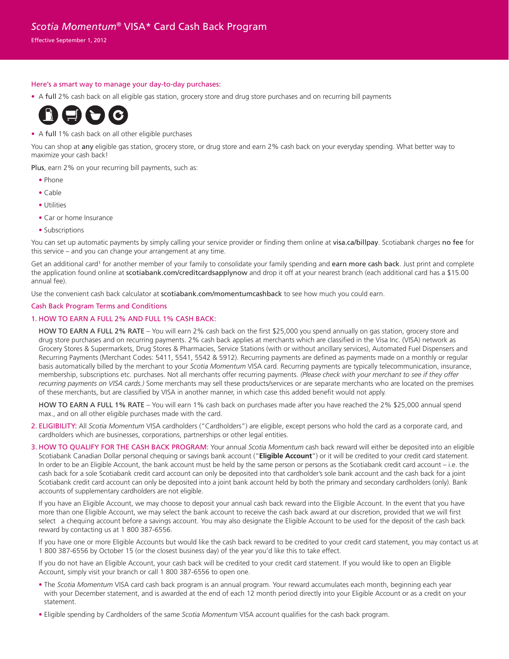# *Scotia Momentum®* VISA\* Card Cash Back Program

Effective September 1, 2012

### Here's a smart way to manage your day-to-day purchases:

• A full 2% cash back on all eligible gas station, grocery store and drug store purchases and on recurring bill payments



## • A full 1% cash back on all other eligible purchases

You can shop at any eligible gas station, grocery store, or drug store and earn 2% cash back on your everyday spending. What better way to maximize your cash back!

Plus, earn 2% on your recurring bill payments, such as:

- Phone
- Cable
- Utilities
- Car or home Insurance
- Subscriptions

You can set up automatic payments by simply calling your service provider or finding them online at visa.ca/billpay. Scotiabank charges no fee for this service – and you can change your arrangement at any time.

Get an additional card<sup>1</sup> for another member of your family to consolidate your family spending and earn more cash back. Just print and complete the application found online at scotiabank.com/creditcardsapplynow and drop it off at your nearest branch (each additional card has a \$15.00 annual fee).

Use the convenient cash back calculator at scotiabank.com/momentumcashback to see how much you could earn.

### Cash Back Program Terms and Conditions

## 1. HOW TO EARN A FULL 2% AND FULL 1% CASH BACK:

 HOW TO EARN A FULL 2% RATE – You will earn 2% cash back on the first \$25,000 you spend annually on gas station, grocery store and drug store purchases and on recurring payments. 2% cash back applies at merchants which are classified in the Visa Inc. (VISA) network as Grocery Stores & Supermarkets, Drug Stores & Pharmacies, Service Stations (with or without ancillary services), Automated Fuel Dispensers and Recurring Payments (Merchant Codes: 5411, 5541, 5542 & 5912). Recurring payments are defined as payments made on a monthly or regular basis automatically billed by the merchant to your *Scotia Momentum* VISA card. Recurring payments are typically telecommunication, insurance, membership, subscriptions etc. purchases. Not all merchants offer recurring payments. *(Please check with your merchant to see if they offer recurring payments on VISA cards.)* Some merchants may sell these products/services or are separate merchants who are located on the premises of these merchants, but are classified by VISA in another manner, in which case this added benefit would not apply.

HOW TO EARN A FULL 1% RATE – You will earn 1% cash back on purchases made after you have reached the 2% \$25,000 annual spend max., and on all other eligible purchases made with the card.

- 2. ELIGIBILITY: All *Scotia Momentum* VISA cardholders ("Cardholders") are eligible, except persons who hold the card as a corporate card, and cardholders which are businesses, corporations, partnerships or other legal entities.
- 3. HOW TO QUALIFY FOR THE CASH BACK PROGRAM: Your annual *Scotia Momentum* cash back reward will either be deposited into an eligible Scotiabank Canadian Dollar personal chequing or savings bank account ("**Eligible Account**") or it will be credited to your credit card statement. In order to be an Eligible Account, the bank account must be held by the same person or persons as the Scotiabank credit card account – i.e. the cash back for a sole Scotiabank credit card account can only be deposited into that cardholder's sole bank account and the cash back for a joint Scotiabank credit card account can only be deposited into a joint bank account held by both the primary and secondary cardholders (only). Bank accounts of supplementary cardholders are not eligible.

If you have an Eligible Account, we may choose to deposit your annual cash back reward into the Eligible Account. In the event that you have more than one Eligible Account, we may select the bank account to receive the cash back award at our discretion, provided that we will first select a chequing account before a savings account. You may also designate the Eligible Account to be used for the deposit of the cash back reward by contacting us at 1 800 387-6556.

If you have one or more Eligible Accounts but would like the cash back reward to be credited to your credit card statement, you may contact us at 1 800 387-6556 by October 15 (or the closest business day) of the year you'd like this to take effect.

If you do not have an Eligible Account, your cash back will be credited to your credit card statement. If you would like to open an Eligible Account, simply visit your branch or call 1 800 387-6556 to open one.

- The *Scotia Momentum* VISA card cash back program is an annual program. Your reward accumulates each month, beginning each year with your December statement, and is awarded at the end of each 12 month period directly into your Eligible Account or as a credit on your statement.
- Eligible spending by Cardholders of the same *Scotia Momentum* VISA account qualifies for the cash back program.